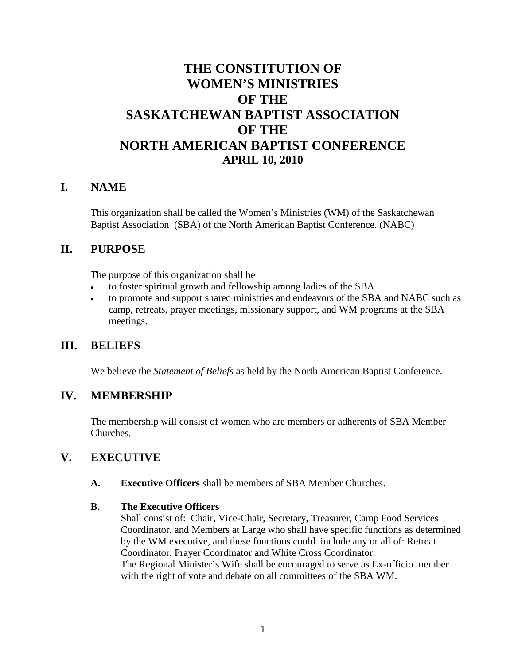# **THE CONSTITUTION OF WOMEN'S MINISTRIES OF THE SASKATCHEWAN BAPTIST ASSOCIATION OF THE NORTH AMERICAN BAPTIST CONFERENCE APRIL 10, 2010**

## **I. NAME**

This organization shall be called the Women's Ministries (WM) of the Saskatchewan Baptist Association (SBA) of the North American Baptist Conference. (NABC)

### **II. PURPOSE**

The purpose of this organization shall be

- to foster spiritual growth and fellowship among ladies of the SBA
- to promote and support shared ministries and endeavors of the SBA and NABC such as camp, retreats, prayer meetings, missionary support, and WM programs at the SBA meetings.

## **III. BELIEFS**

We believe the *Statement of Beliefs* as held by the North American Baptist Conference.

#### **IV. MEMBERSHIP**

The membership will consist of women who are members or adherents of SBA Member Churches.

## **V. EXECUTIVE**

**A. Executive Officers** shall be members of SBA Member Churches.

#### **B. The Executive Officers**

Shall consist of: Chair, Vice-Chair, Secretary, Treasurer, Camp Food Services Coordinator, and Members at Large who shall have specific functions as determined by the WM executive, and these functions could include any or all of: Retreat Coordinator, Prayer Coordinator and White Cross Coordinator. The Regional Minister's Wife shall be encouraged to serve as Ex-officio member with the right of vote and debate on all committees of the SBA WM.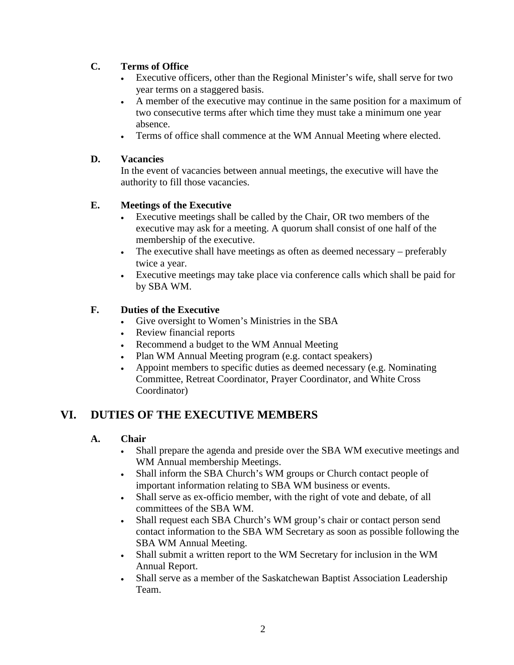#### **C. Terms of Office**

- Executive officers, other than the Regional Minister's wife, shall serve for two year terms on a staggered basis.
- A member of the executive may continue in the same position for a maximum of two consecutive terms after which time they must take a minimum one year absence.
- Terms of office shall commence at the WM Annual Meeting where elected.

#### **D. Vacancies**

In the event of vacancies between annual meetings, the executive will have the authority to fill those vacancies.

#### **E. Meetings of the Executive**

- Executive meetings shall be called by the Chair, OR two members of the executive may ask for a meeting. A quorum shall consist of one half of the membership of the executive.
- The executive shall have meetings as often as deemed necessary preferably twice a year.
- Executive meetings may take place via conference calls which shall be paid for by SBA WM.

#### **F. Duties of the Executive**

- Give oversight to Women's Ministries in the SBA
- Review financial reports
- Recommend a budget to the WM Annual Meeting
- Plan WM Annual Meeting program (e.g. contact speakers)
- Appoint members to specific duties as deemed necessary (e.g. Nominating Committee, Retreat Coordinator, Prayer Coordinator, and White Cross Coordinator)

## **VI. DUTIES OF THE EXECUTIVE MEMBERS**

#### **A. Chair**

- Shall prepare the agenda and preside over the SBA WM executive meetings and WM Annual membership Meetings.
- Shall inform the SBA Church's WM groups or Church contact people of important information relating to SBA WM business or events.
- Shall serve as ex-officio member, with the right of vote and debate, of all committees of the SBA WM.
- Shall request each SBA Church's WM group's chair or contact person send contact information to the SBA WM Secretary as soon as possible following the SBA WM Annual Meeting.
- Shall submit a written report to the WM Secretary for inclusion in the WM Annual Report.
- Shall serve as a member of the Saskatchewan Baptist Association Leadership Team.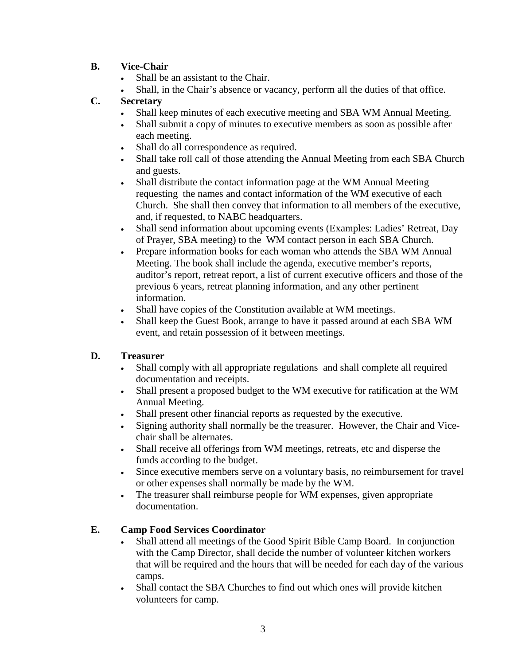#### **B. Vice-Chair**

- Shall be an assistant to the Chair.
- Shall, in the Chair's absence or vacancy, perform all the duties of that office.

### **C. Secretary**

- Shall keep minutes of each executive meeting and SBA WM Annual Meeting.
- Shall submit a copy of minutes to executive members as soon as possible after each meeting.
- Shall do all correspondence as required.
- Shall take roll call of those attending the Annual Meeting from each SBA Church and guests.
- Shall distribute the contact information page at the WM Annual Meeting requesting the names and contact information of the WM executive of each Church. She shall then convey that information to all members of the executive, and, if requested, to NABC headquarters.
- Shall send information about upcoming events (Examples: Ladies' Retreat, Day of Prayer, SBA meeting) to the WM contact person in each SBA Church.
- Prepare information books for each woman who attends the SBA WM Annual Meeting. The book shall include the agenda, executive member's reports, auditor's report, retreat report, a list of current executive officers and those of the previous 6 years, retreat planning information, and any other pertinent information.
- Shall have copies of the Constitution available at WM meetings.
- Shall keep the Guest Book, arrange to have it passed around at each SBA WM event, and retain possession of it between meetings.

## **D. Treasurer**

- Shall comply with all appropriate regulations and shall complete all required documentation and receipts.
- Shall present a proposed budget to the WM executive for ratification at the WM Annual Meeting.
- Shall present other financial reports as requested by the executive.
- Signing authority shall normally be the treasurer. However, the Chair and Vicechair shall be alternates.
- Shall receive all offerings from WM meetings, retreats, etc and disperse the funds according to the budget.
- Since executive members serve on a voluntary basis, no reimbursement for travel or other expenses shall normally be made by the WM.
- The treasurer shall reimburse people for WM expenses, given appropriate documentation.

#### **E. Camp Food Services Coordinator**

- Shall attend all meetings of the Good Spirit Bible Camp Board. In conjunction with the Camp Director, shall decide the number of volunteer kitchen workers that will be required and the hours that will be needed for each day of the various camps.
- Shall contact the SBA Churches to find out which ones will provide kitchen volunteers for camp.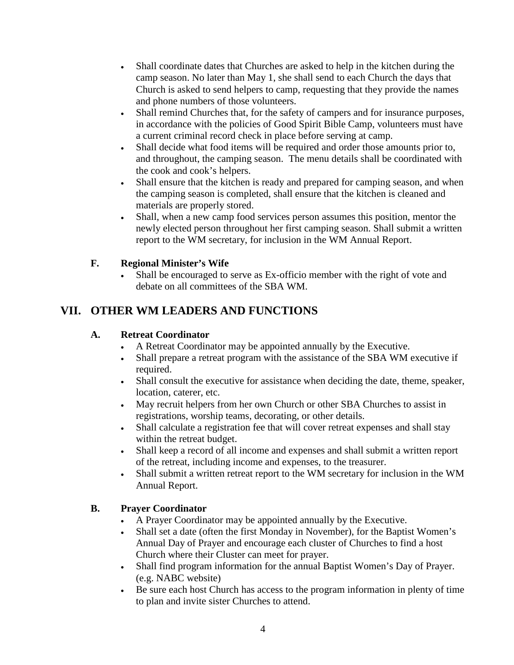- Shall coordinate dates that Churches are asked to help in the kitchen during the camp season. No later than May 1, she shall send to each Church the days that Church is asked to send helpers to camp, requesting that they provide the names and phone numbers of those volunteers.
- Shall remind Churches that, for the safety of campers and for insurance purposes, in accordance with the policies of Good Spirit Bible Camp, volunteers must have a current criminal record check in place before serving at camp.
- Shall decide what food items will be required and order those amounts prior to, and throughout, the camping season. The menu details shall be coordinated with the cook and cook's helpers.
- Shall ensure that the kitchen is ready and prepared for camping season, and when the camping season is completed, shall ensure that the kitchen is cleaned and materials are properly stored.
- Shall, when a new camp food services person assumes this position, mentor the newly elected person throughout her first camping season. Shall submit a written report to the WM secretary, for inclusion in the WM Annual Report.

#### **F. Regional Minister's Wife**

Shall be encouraged to serve as Ex-officio member with the right of vote and debate on all committees of the SBA WM.

## **VII. OTHER WM LEADERS AND FUNCTIONS**

#### **A. Retreat Coordinator**

- A Retreat Coordinator may be appointed annually by the Executive.
- Shall prepare a retreat program with the assistance of the SBA WM executive if required.
- Shall consult the executive for assistance when deciding the date, theme, speaker, location, caterer, etc.
- May recruit helpers from her own Church or other SBA Churches to assist in registrations, worship teams, decorating, or other details.
- Shall calculate a registration fee that will cover retreat expenses and shall stay within the retreat budget.
- Shall keep a record of all income and expenses and shall submit a written report of the retreat, including income and expenses, to the treasurer.
- Shall submit a written retreat report to the WM secretary for inclusion in the WM Annual Report.

#### **B. Prayer Coordinator**

- A Prayer Coordinator may be appointed annually by the Executive.
- Shall set a date (often the first Monday in November), for the Baptist Women's Annual Day of Prayer and encourage each cluster of Churches to find a host Church where their Cluster can meet for prayer.
- Shall find program information for the annual Baptist Women's Day of Prayer. (e.g. NABC website)
- Be sure each host Church has access to the program information in plenty of time to plan and invite sister Churches to attend.